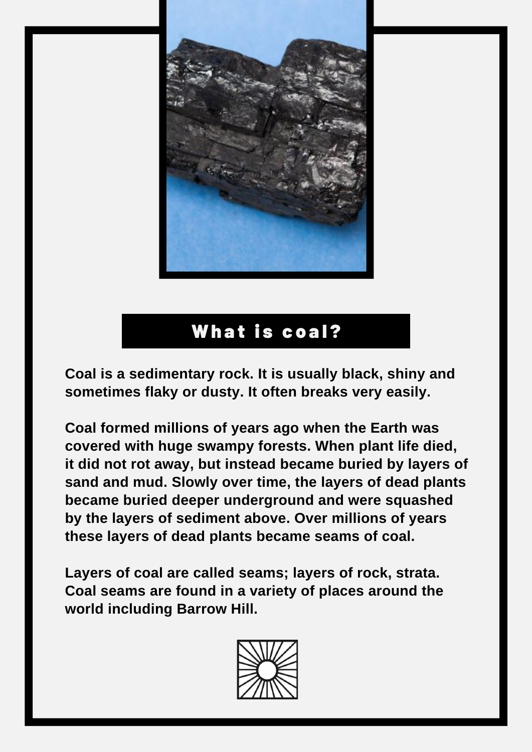

## What is coal?

**Coal is a sedimentary rock. It is usually black, shiny and sometimes flaky or dusty. It often breaks very easily.**

**Coal formed millions of years ago when the Earth was covered with huge swampy forests. When plant life died, it did not rot away, but instead became buried by layers of sand and mud. Slowly over time, the layers of dead plants became buried deeper underground and were squashed by the layers of sediment above. Over millions of years these layers of dead plants became seams of coal.**

**Layers of coal are called seams; layers of rock, strata. Coal seams are found in a variety of places around the world including Barrow Hill.**